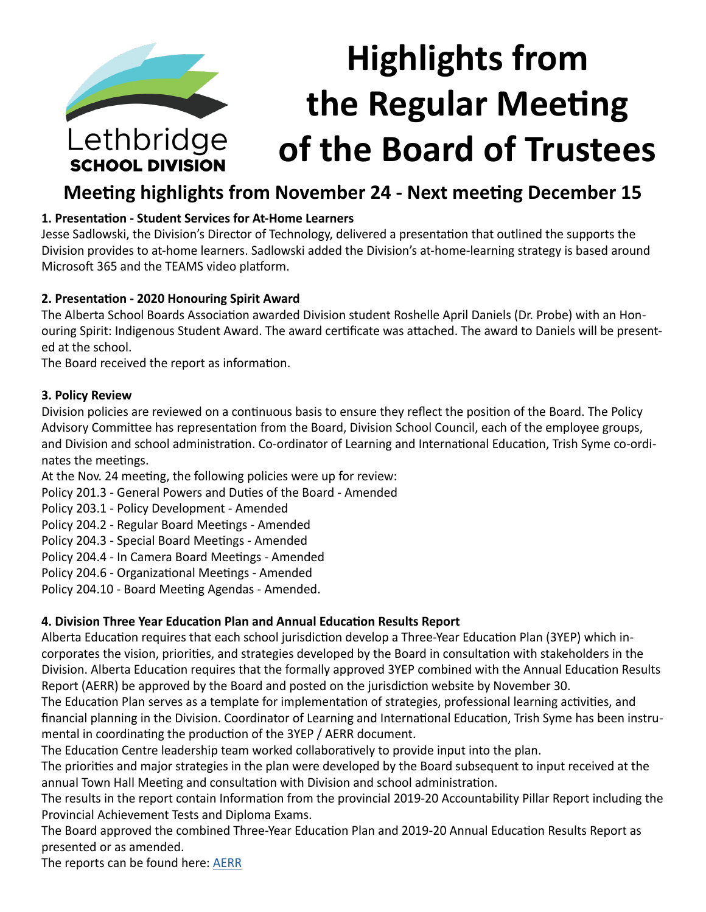# **Highlights from the Regular Meeting**  Lethbridge **of the Board of Trustees SCHOOL DIVISION**

# **Meeting highlights from November 24 - Next meeting December 15**

# **1. Presentation - Student Services for At-Home Learners**

Jesse Sadlowski, the Division's Director of Technology, delivered a presentation that outlined the supports the Division provides to at-home learners. Sadlowski added the Division's at-home-learning strategy is based around Microsoft 365 and the TEAMS video platform.

# **2. Presentation - 2020 Honouring Spirit Award**

The Alberta School Boards Association awarded Division student Roshelle April Daniels (Dr. Probe) with an Honouring Spirit: Indigenous Student Award. The award certificate was attached. The award to Daniels will be presented at the school.

The Board received the report as information.

# **3. Policy Review**

Division policies are reviewed on a continuous basis to ensure they reflect the position of the Board. The Policy Advisory Committee has representation from the Board, Division School Council, each of the employee groups, and Division and school administration. Co-ordinator of Learning and International Education, Trish Syme co-ordinates the meetings.

At the Nov. 24 meeting, the following policies were up for review:

Policy 201.3 - General Powers and Duties of the Board - Amended

Policy 203.1 - Policy Development - Amended

Policy 204.2 - Regular Board Meetings - Amended

Policy 204.3 - Special Board Meetings - Amended

Policy 204.4 - In Camera Board Meetings - Amended

Policy 204.6 - Organizational Meetings - Amended

Policy 204.10 - Board Meeting Agendas - Amended.

# **4. Division Three Year Education Plan and Annual Education Results Report**

Alberta Education requires that each school jurisdiction develop a Three-Year Education Plan (3YEP) which incorporates the vision, priorities, and strategies developed by the Board in consultation with stakeholders in the Division. Alberta Education requires that the formally approved 3YEP combined with the Annual Education Results Report (AERR) be approved by the Board and posted on the jurisdiction website by November 30.

The Education Plan serves as a template for implementation of strategies, professional learning activities, and financial planning in the Division. Coordinator of Learning and International Education, Trish Syme has been instrumental in coordinating the production of the 3YEP / AERR document.

The Education Centre leadership team worked collaboratively to provide input into the plan.

The priorities and major strategies in the plan were developed by the Board subsequent to input received at the annual Town Hall Meeting and consultation with Division and school administration.

The results in the report contain Information from the provincial 2019-20 Accountability Pillar Report including the Provincial Achievement Tests and Diploma Exams.

The Board approved the combined Three-Year Education Plan and 2019-20 Annual Education Results Report as presented or as amended.

The reports can be found here: [AERR](https://www.lethsd.ab.ca/our-district/plans-reports/annual-education-plan-results)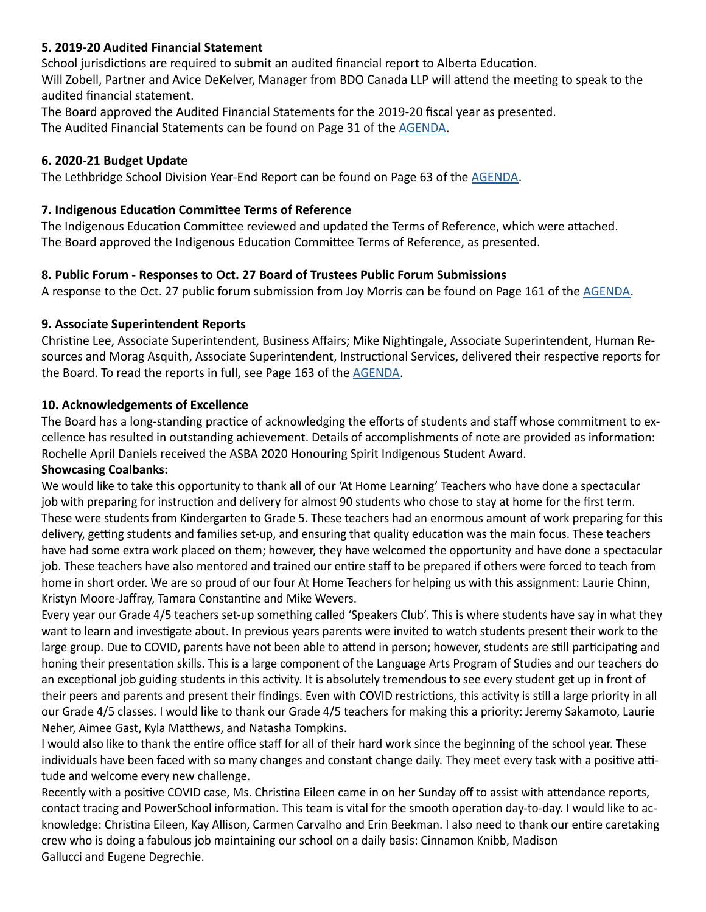#### **5. 2019-20 Audited Financial Statement**

School jurisdictions are required to submit an audited financial report to Alberta Education. Will Zobell, Partner and Avice DeKelver, Manager from BDO Canada LLP will attend the meeting to speak to the audited financial statement.

The Board approved the Audited Financial Statements for the 2019-20 fiscal year as presented. The Audited Financial Statements can be found on Page 31 of the [AGENDA](https://www.lethsd.ab.ca/download/313131).

#### **6. 2020-21 Budget Update**

The Lethbridge School Division Year-End Report can be found on Page 63 of the [AGENDA](https://www.lethsd.ab.ca/download/313131).

#### **7. Indigenous Education Committee Terms of Reference**

The Indigenous Education Committee reviewed and updated the Terms of Reference, which were attached. The Board approved the Indigenous Education Committee Terms of Reference, as presented.

#### **8. Public Forum - Responses to Oct. 27 Board of Trustees Public Forum Submissions**

A response to the Oct. 27 public forum submission from Joy Morris can be found on Page 161 of the [AGENDA](https://www.lethsd.ab.ca/download/313131).

#### **9. Associate Superintendent Reports**

Christine Lee, Associate Superintendent, Business Affairs; Mike Nightingale, Associate Superintendent, Human Resources and Morag Asquith, Associate Superintendent, Instructional Services, delivered their respective reports for the Board. To read the reports in full, see Page 163 of the **AGENDA**.

#### **10. Acknowledgements of Excellence**

The Board has a long-standing practice of acknowledging the efforts of students and staff whose commitment to excellence has resulted in outstanding achievement. Details of accomplishments of note are provided as information: Rochelle April Daniels received the ASBA 2020 Honouring Spirit Indigenous Student Award.

#### **Showcasing Coalbanks:**

We would like to take this opportunity to thank all of our 'At Home Learning' Teachers who have done a spectacular job with preparing for instruction and delivery for almost 90 students who chose to stay at home for the first term. These were students from Kindergarten to Grade 5. These teachers had an enormous amount of work preparing for this delivery, getting students and families set-up, and ensuring that quality education was the main focus. These teachers have had some extra work placed on them; however, they have welcomed the opportunity and have done a spectacular job. These teachers have also mentored and trained our entire staff to be prepared if others were forced to teach from home in short order. We are so proud of our four At Home Teachers for helping us with this assignment: Laurie Chinn, Kristyn Moore-Jaffray, Tamara Constantine and Mike Wevers.

Every year our Grade 4/5 teachers set-up something called 'Speakers Club'. This is where students have say in what they want to learn and investigate about. In previous years parents were invited to watch students present their work to the large group. Due to COVID, parents have not been able to attend in person; however, students are still participating and honing their presentation skills. This is a large component of the Language Arts Program of Studies and our teachers do an exceptional job guiding students in this activity. It is absolutely tremendous to see every student get up in front of their peers and parents and present their findings. Even with COVID restrictions, this activity is still a large priority in all our Grade 4/5 classes. I would like to thank our Grade 4/5 teachers for making this a priority: Jeremy Sakamoto, Laurie Neher, Aimee Gast, Kyla Matthews, and Natasha Tompkins.

I would also like to thank the entire office staff for all of their hard work since the beginning of the school year. These individuals have been faced with so many changes and constant change daily. They meet every task with a positive attitude and welcome every new challenge.

Recently with a positive COVID case, Ms. Christina Eileen came in on her Sunday off to assist with attendance reports, contact tracing and PowerSchool information. This team is vital for the smooth operation day-to-day. I would like to acknowledge: Christina Eileen, Kay Allison, Carmen Carvalho and Erin Beekman. I also need to thank our entire caretaking crew who is doing a fabulous job maintaining our school on a daily basis: Cinnamon Knibb, Madison Gallucci and Eugene Degrechie.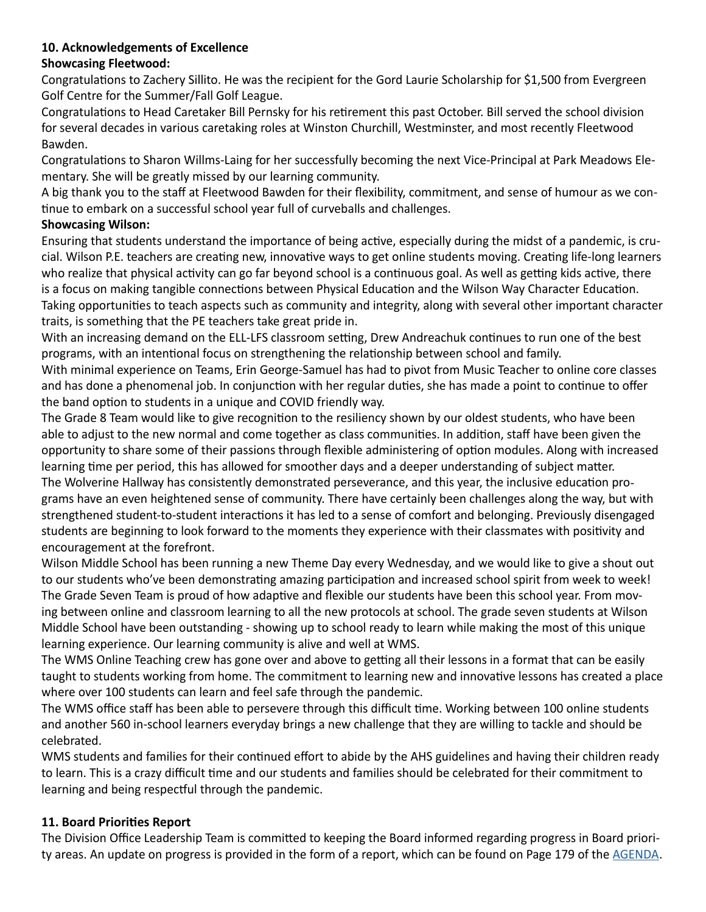# **10. Acknowledgements of Excellence**

# **Showcasing Fleetwood:**

Congratulations to Zachery Sillito. He was the recipient for the Gord Laurie Scholarship for \$1,500 from Evergreen Golf Centre for the Summer/Fall Golf League.

Congratulations to Head Caretaker Bill Pernsky for his retirement this past October. Bill served the school division for several decades in various caretaking roles at Winston Churchill, Westminster, and most recently Fleetwood Bawden.

Congratulations to Sharon Willms-Laing for her successfully becoming the next Vice-Principal at Park Meadows Elementary. She will be greatly missed by our learning community.

A big thank you to the staff at Fleetwood Bawden for their flexibility, commitment, and sense of humour as we continue to embark on a successful school year full of curveballs and challenges.

# **Showcasing Wilson:**

Ensuring that students understand the importance of being active, especially during the midst of a pandemic, is crucial. Wilson P.E. teachers are creating new, innovative ways to get online students moving. Creating life-long learners who realize that physical activity can go far beyond school is a continuous goal. As well as getting kids active, there is a focus on making tangible connections between Physical Education and the Wilson Way Character Education. Taking opportunities to teach aspects such as community and integrity, along with several other important character traits, is something that the PE teachers take great pride in.

With an increasing demand on the ELL-LFS classroom setting, Drew Andreachuk continues to run one of the best programs, with an intentional focus on strengthening the relationship between school and family.

With minimal experience on Teams, Erin George-Samuel has had to pivot from Music Teacher to online core classes and has done a phenomenal job. In conjunction with her regular duties, she has made a point to continue to offer the band option to students in a unique and COVID friendly way.

The Grade 8 Team would like to give recognition to the resiliency shown by our oldest students, who have been able to adjust to the new normal and come together as class communities. In addition, staff have been given the opportunity to share some of their passions through flexible administering of option modules. Along with increased learning time per period, this has allowed for smoother days and a deeper understanding of subject matter. The Wolverine Hallway has consistently demonstrated perseverance, and this year, the inclusive education programs have an even heightened sense of community. There have certainly been challenges along the way, but with strengthened student-to-student interactions it has led to a sense of comfort and belonging. Previously disengaged students are beginning to look forward to the moments they experience with their classmates with positivity and encouragement at the forefront.

Wilson Middle School has been running a new Theme Day every Wednesday, and we would like to give a shout out to our students who've been demonstrating amazing participation and increased school spirit from week to week! The Grade Seven Team is proud of how adaptive and flexible our students have been this school year. From moving between online and classroom learning to all the new protocols at school. The grade seven students at Wilson Middle School have been outstanding - showing up to school ready to learn while making the most of this unique learning experience. Our learning community is alive and well at WMS.

The WMS Online Teaching crew has gone over and above to getting all their lessons in a format that can be easily taught to students working from home. The commitment to learning new and innovative lessons has created a place where over 100 students can learn and feel safe through the pandemic.

The WMS office staff has been able to persevere through this difficult time. Working between 100 online students and another 560 in-school learners everyday brings a new challenge that they are willing to tackle and should be celebrated.

WMS students and families for their continued effort to abide by the AHS guidelines and having their children ready to learn. This is a crazy difficult time and our students and families should be celebrated for their commitment to learning and being respectful through the pandemic.

# **11. Board Priorities Report**

The Division Office Leadership Team is committed to keeping the Board informed regarding progress in Board priori-ty areas. An update on progress is provided in the form of a report, which can be found on Page 179 of the [AGENDA](https://www.lethsd.ab.ca/download/313131).